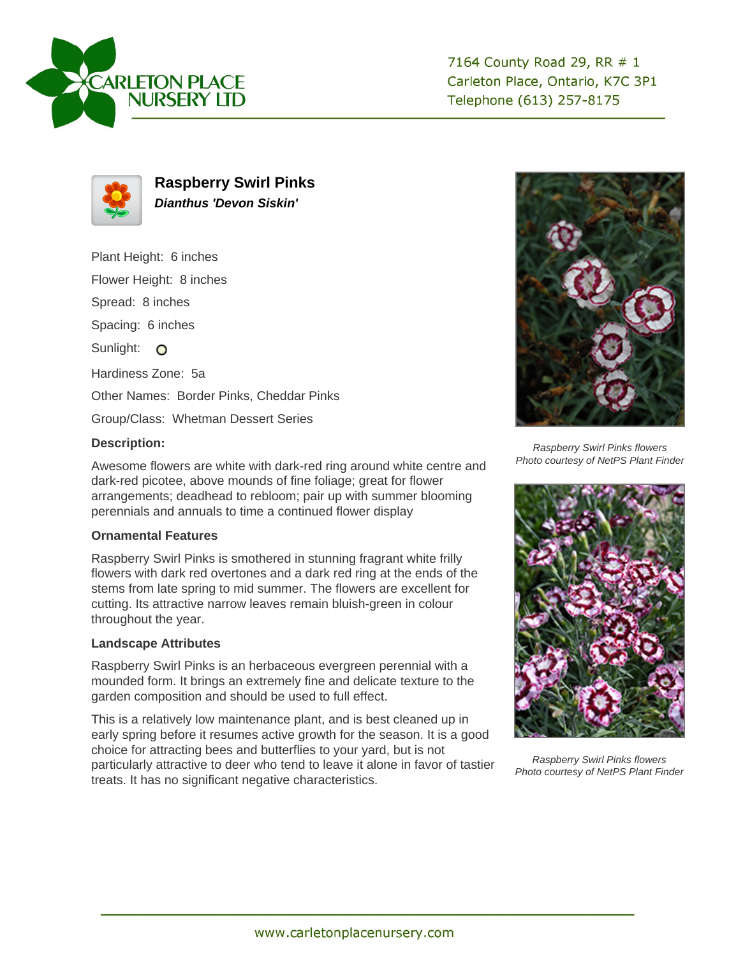



**Raspberry Swirl Pinks Dianthus 'Devon Siskin'**

Plant Height: 6 inches

Flower Height: 8 inches

Spread: 8 inches

Spacing: 6 inches

Sunlight: O

Hardiness Zone: 5a

Other Names: Border Pinks, Cheddar Pinks

Group/Class: Whetman Dessert Series

## **Description:**

Awesome flowers are white with dark-red ring around white centre and dark-red picotee, above mounds of fine foliage; great for flower arrangements; deadhead to rebloom; pair up with summer blooming perennials and annuals to time a continued flower display

## **Ornamental Features**

Raspberry Swirl Pinks is smothered in stunning fragrant white frilly flowers with dark red overtones and a dark red ring at the ends of the stems from late spring to mid summer. The flowers are excellent for cutting. Its attractive narrow leaves remain bluish-green in colour throughout the year.

## **Landscape Attributes**

Raspberry Swirl Pinks is an herbaceous evergreen perennial with a mounded form. It brings an extremely fine and delicate texture to the garden composition and should be used to full effect.

This is a relatively low maintenance plant, and is best cleaned up in early spring before it resumes active growth for the season. It is a good choice for attracting bees and butterflies to your yard, but is not particularly attractive to deer who tend to leave it alone in favor of tastier treats. It has no significant negative characteristics.



Raspberry Swirl Pinks flowers Photo courtesy of NetPS Plant Finder



Raspberry Swirl Pinks flowers Photo courtesy of NetPS Plant Finder